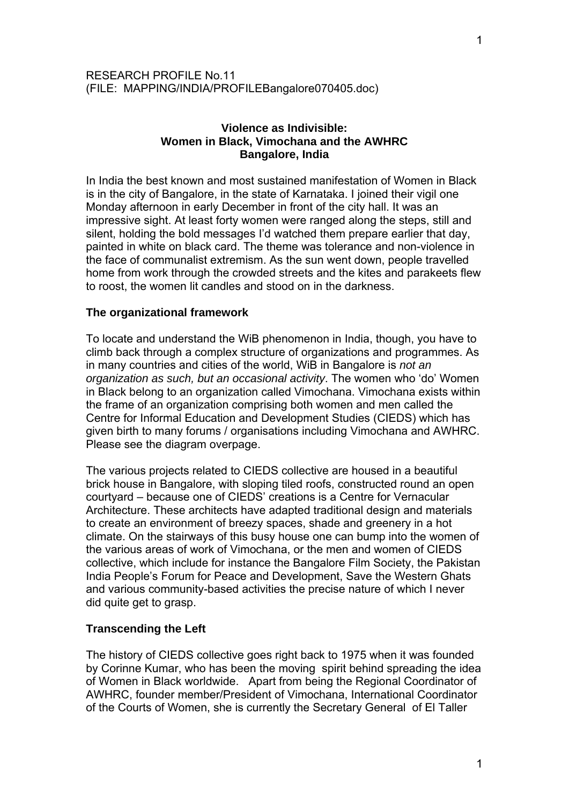# RESEARCH PROFILE No.11 (FILE: MAPPING/INDIA/PROFILEBangalore070405.doc)

# **Violence as Indivisible: Women in Black, Vimochana and the AWHRC Bangalore, India**

In India the best known and most sustained manifestation of Women in Black is in the city of Bangalore, in the state of Karnataka. I joined their vigil one Monday afternoon in early December in front of the city hall. It was an impressive sight. At least forty women were ranged along the steps, still and silent, holding the bold messages I'd watched them prepare earlier that day, painted in white on black card. The theme was tolerance and non-violence in the face of communalist extremism. As the sun went down, people travelled home from work through the crowded streets and the kites and parakeets flew to roost, the women lit candles and stood on in the darkness.

# **The organizational framework**

To locate and understand the WiB phenomenon in India, though, you have to climb back through a complex structure of organizations and programmes. As in many countries and cities of the world, WiB in Bangalore is *not an organization as such, but an occasional activity*. The women who 'do' Women in Black belong to an organization called Vimochana. Vimochana exists within the frame of an organization comprising both women and men called the Centre for Informal Education and Development Studies (CIEDS) which has given birth to many forums / organisations including Vimochana and AWHRC. Please see the diagram overpage.

The various projects related to CIEDS collective are housed in a beautiful brick house in Bangalore, with sloping tiled roofs, constructed round an open courtyard – because one of CIEDS' creations is a Centre for Vernacular Architecture. These architects have adapted traditional design and materials to create an environment of breezy spaces, shade and greenery in a hot climate. On the stairways of this busy house one can bump into the women of the various areas of work of Vimochana, or the men and women of CIEDS collective, which include for instance the Bangalore Film Society, the Pakistan India People's Forum for Peace and Development, Save the Western Ghats and various community-based activities the precise nature of which I never did quite get to grasp.

# **Transcending the Left**

The history of CIEDS collective goes right back to 1975 when it was founded by Corinne Kumar, who has been the moving spirit behind spreading the idea of Women in Black worldwide. Apart from being the Regional Coordinator of AWHRC, founder member/President of Vimochana, International Coordinator of the Courts of Women, she is currently the Secretary General of El Taller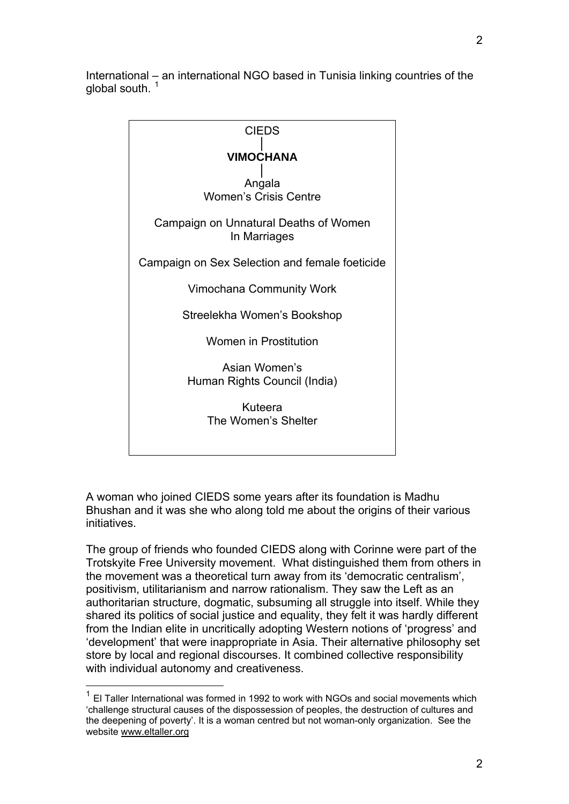International – an international NGO based in Tunisia linking countries of the global south.  $1$ 



A woman who joined CIEDS some years after its foundation is Madhu Bhushan and it was she who along told me about the origins of their various initiatives.

The group of friends who founded CIEDS along with Corinne were part of the Trotskyite Free University movement. What distinguished them from others in the movement was a theoretical turn away from its 'democratic centralism', positivism, utilitarianism and narrow rationalism. They saw the Left as an authoritarian structure, dogmatic, subsuming all struggle into itself. While they shared its politics of social justice and equality, they felt it was hardly different from the Indian elite in uncritically adopting Western notions of 'progress' and 'development' that were inappropriate in Asia. Their alternative philosophy set store by local and regional discourses. It combined collective responsibility with individual autonomy and creativeness.

1

<span id="page-1-0"></span> $1$  El Taller International was formed in 1992 to work with NGOs and social movements which 'challenge structural causes of the dispossession of peoples, the destruction of cultures and the deepening of poverty'. It is a woman centred but not woman-only organization. See the website [www.eltaller.org](http://www.eltaller.org/)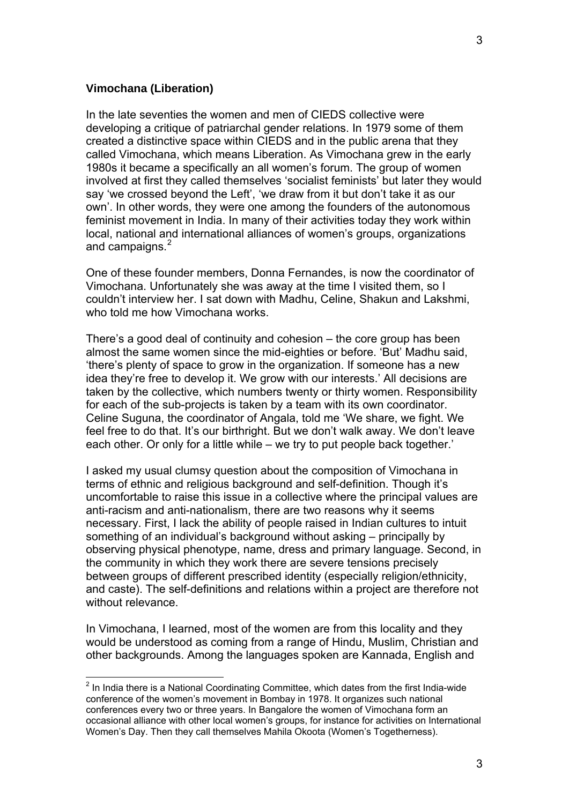## **Vimochana (Liberation)**

 $\overline{a}$ 

In the late seventies the women and men of CIEDS collective were developing a critique of patriarchal gender relations. In 1979 some of them created a distinctive space within CIEDS and in the public arena that they called Vimochana, which means Liberation. As Vimochana grew in the early 1980s it became a specifically an all women's forum. The group of women involved at first they called themselves 'socialist feminists' but later they would say 'we crossed beyond the Left', 'we draw from it but don't take it as our own'. In other words, they were one among the founders of the autonomous feminist movement in India. In many of their activities today they work within local, national and international alliances of women's groups, organizations and campaigns.<sup>[2](#page-2-0)</sup>

One of these founder members, Donna Fernandes, is now the coordinator of Vimochana. Unfortunately she was away at the time I visited them, so I couldn't interview her. I sat down with Madhu, Celine, Shakun and Lakshmi, who told me how Vimochana works.

There's a good deal of continuity and cohesion – the core group has been almost the same women since the mid-eighties or before. 'But' Madhu said, 'there's plenty of space to grow in the organization. If someone has a new idea they're free to develop it. We grow with our interests.' All decisions are taken by the collective, which numbers twenty or thirty women. Responsibility for each of the sub-projects is taken by a team with its own coordinator. Celine Suguna, the coordinator of Angala, told me 'We share, we fight. We feel free to do that. It's our birthright. But we don't walk away. We don't leave each other. Or only for a little while – we try to put people back together.'

I asked my usual clumsy question about the composition of Vimochana in terms of ethnic and religious background and self-definition. Though it's uncomfortable to raise this issue in a collective where the principal values are anti-racism and anti-nationalism, there are two reasons why it seems necessary. First, I lack the ability of people raised in Indian cultures to intuit something of an individual's background without asking – principally by observing physical phenotype, name, dress and primary language. Second, in the community in which they work there are severe tensions precisely between groups of different prescribed identity (especially religion/ethnicity, and caste). The self-definitions and relations within a project are therefore not without relevance.

In Vimochana, I learned, most of the women are from this locality and they would be understood as coming from a range of Hindu, Muslim, Christian and other backgrounds. Among the languages spoken are Kannada, English and

<span id="page-2-0"></span> $2$  In India there is a National Coordinating Committee, which dates from the first India-wide conference of the women's movement in Bombay in 1978. It organizes such national conferences every two or three years. In Bangalore the women of Vimochana form an occasional alliance with other local women's groups, for instance for activities on International Women's Day. Then they call themselves Mahila Okoota (Women's Togetherness).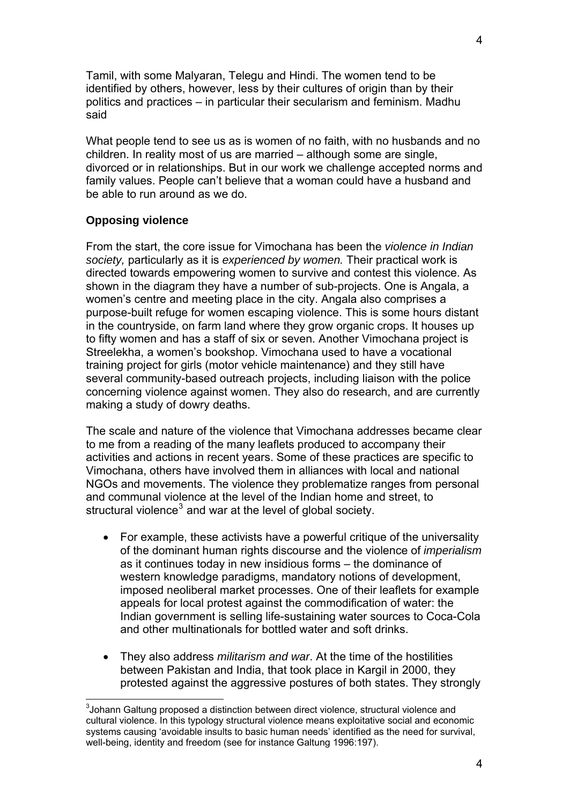Tamil, with some Malyaran, Telegu and Hindi. The women tend to be identified by others, however, less by their cultures of origin than by their politics and practices – in particular their secularism and feminism. Madhu said

What people tend to see us as is women of no faith, with no husbands and no children. In reality most of us are married – although some are single, divorced or in relationships. But in our work we challenge accepted norms and family values. People can't believe that a woman could have a husband and be able to run around as we do.

## **Opposing violence**

1

From the start, the core issue for Vimochana has been the *violence in Indian society,* particularly as it is *experienced by women.* Their practical work is directed towards empowering women to survive and contest this violence. As shown in the diagram they have a number of sub-projects. One is Angala, a women's centre and meeting place in the city. Angala also comprises a purpose-built refuge for women escaping violence. This is some hours distant in the countryside, on farm land where they grow organic crops. It houses up to fifty women and has a staff of six or seven. Another Vimochana project is Streelekha, a women's bookshop. Vimochana used to have a vocational training project for girls (motor vehicle maintenance) and they still have several community-based outreach projects, including liaison with the police concerning violence against women. They also do research, and are currently making a study of dowry deaths.

The scale and nature of the violence that Vimochana addresses became clear to me from a reading of the many leaflets produced to accompany their activities and actions in recent years. Some of these practices are specific to Vimochana, others have involved them in alliances with local and national NGOs and movements. The violence they problematize ranges from personal and communal violence at the level of the Indian home and street, to structural violence $3$  and war at the level of global society.

- For example, these activists have a powerful critique of the universality of the dominant human rights discourse and the violence of *imperialism* as it continues today in new insidious forms – the dominance of western knowledge paradigms, mandatory notions of development, imposed neoliberal market processes. One of their leaflets for example appeals for local protest against the commodification of water: the Indian government is selling life-sustaining water sources to Coca-Cola and other multinationals for bottled water and soft drinks.
- They also address *militarism and war*. At the time of the hostilities between Pakistan and India, that took place in Kargil in 2000, they protested against the aggressive postures of both states. They strongly

<span id="page-3-0"></span> $3$ Johann Galtung proposed a distinction between direct violence, structural violence and cultural violence. In this typology structural violence means exploitative social and economic systems causing 'avoidable insults to basic human needs' identified as the need for survival, well-being, identity and freedom (see for instance Galtung 1996:197).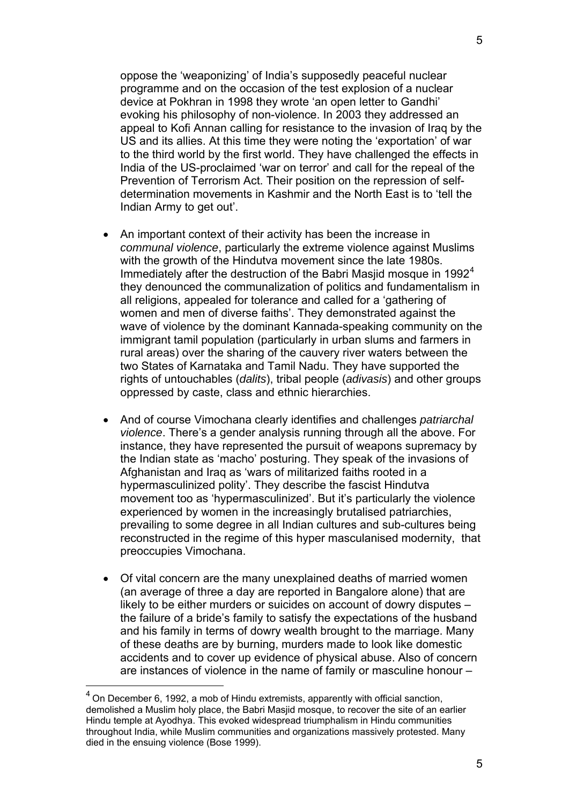oppose the 'weaponizing' of India's supposedly peaceful nuclear programme and on the occasion of the test explosion of a nuclear device at Pokhran in 1998 they wrote 'an open letter to Gandhi' evoking his philosophy of non-violence. In 2003 they addressed an appeal to Kofi Annan calling for resistance to the invasion of Iraq by the US and its allies. At this time they were noting the 'exportation' of war to the third world by the first world. They have challenged the effects in India of the US-proclaimed 'war on terror' and call for the repeal of the Prevention of Terrorism Act. Their position on the repression of selfdetermination movements in Kashmir and the North East is to 'tell the Indian Army to get out'.

- An important context of their activity has been the increase in *communal violence*, particularly the extreme violence against Muslims with the growth of the Hindutva movement since the late 1980s. Immediately after the destruction of the Babri Masjid mosque in  $1992<sup>4</sup>$  $1992<sup>4</sup>$  $1992<sup>4</sup>$ they denounced the communalization of politics and fundamentalism in all religions, appealed for tolerance and called for a 'gathering of women and men of diverse faiths'. They demonstrated against the wave of violence by the dominant Kannada-speaking community on the immigrant tamil population (particularly in urban slums and farmers in rural areas) over the sharing of the cauvery river waters between the two States of Karnataka and Tamil Nadu. They have supported the rights of untouchables (*dalits*), tribal people (*adivasis*) and other groups oppressed by caste, class and ethnic hierarchies.
- And of course Vimochana clearly identifies and challenges *patriarchal violence*. There's a gender analysis running through all the above. For instance, they have represented the pursuit of weapons supremacy by the Indian state as 'macho' posturing. They speak of the invasions of Afghanistan and Iraq as 'wars of militarized faiths rooted in a hypermasculinized polity'. They describe the fascist Hindutva movement too as 'hypermasculinized'. But it's particularly the violence experienced by women in the increasingly brutalised patriarchies, prevailing to some degree in all Indian cultures and sub-cultures being reconstructed in the regime of this hyper masculanised modernity, that preoccupies Vimochana.
- Of vital concern are the many unexplained deaths of married women (an average of three a day are reported in Bangalore alone) that are likely to be either murders or suicides on account of dowry disputes – the failure of a bride's family to satisfy the expectations of the husband and his family in terms of dowry wealth brought to the marriage. Many of these deaths are by burning, murders made to look like domestic accidents and to cover up evidence of physical abuse. Also of concern are instances of violence in the name of family or masculine honour –

1

<span id="page-4-0"></span> $<sup>4</sup>$  On December 6, 1992, a mob of Hindu extremists, apparently with official sanction,</sup> demolished a Muslim holy place, the Babri Masjid mosque, to recover the site of an earlier Hindu temple at Ayodhya. This evoked widespread triumphalism in Hindu communities throughout India, while Muslim communities and organizations massively protested. Many died in the ensuing violence (Bose 1999).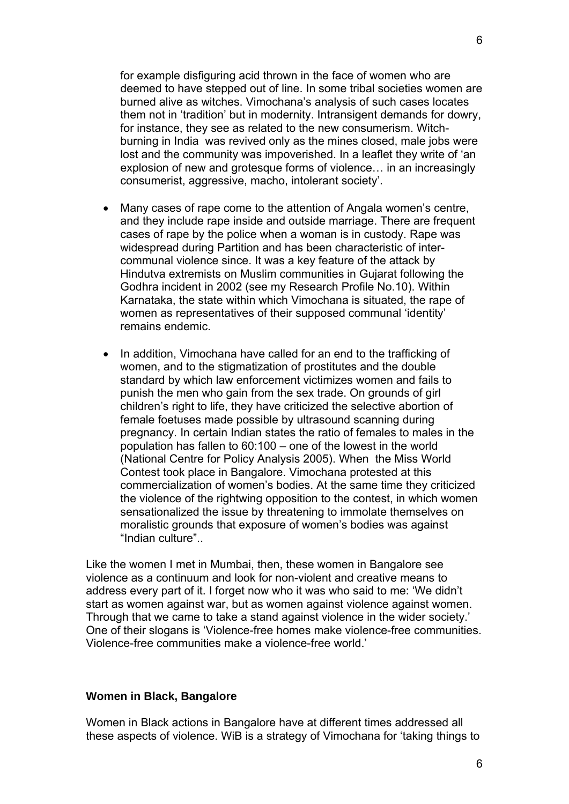for example disfiguring acid thrown in the face of women who are deemed to have stepped out of line. In some tribal societies women are burned alive as witches. Vimochana's analysis of such cases locates them not in 'tradition' but in modernity. Intransigent demands for dowry, for instance, they see as related to the new consumerism. Witchburning in India was revived only as the mines closed, male jobs were lost and the community was impoverished. In a leaflet they write of 'an explosion of new and grotesque forms of violence… in an increasingly consumerist, aggressive, macho, intolerant society'.

- Many cases of rape come to the attention of Angala women's centre, and they include rape inside and outside marriage. There are frequent cases of rape by the police when a woman is in custody. Rape was widespread during Partition and has been characteristic of intercommunal violence since. It was a key feature of the attack by Hindutva extremists on Muslim communities in Gujarat following the Godhra incident in 2002 (see my Research Profile No.10). Within Karnataka, the state within which Vimochana is situated, the rape of women as representatives of their supposed communal 'identity' remains endemic.
- In addition, Vimochana have called for an end to the trafficking of women, and to the stigmatization of prostitutes and the double standard by which law enforcement victimizes women and fails to punish the men who gain from the sex trade. On grounds of girl children's right to life, they have criticized the selective abortion of female foetuses made possible by ultrasound scanning during pregnancy. In certain Indian states the ratio of females to males in the population has fallen to 60:100 – one of the lowest in the world (National Centre for Policy Analysis 2005). When the Miss World Contest took place in Bangalore. Vimochana protested at this commercialization of women's bodies. At the same time they criticized the violence of the rightwing opposition to the contest, in which women sensationalized the issue by threatening to immolate themselves on moralistic grounds that exposure of women's bodies was against "Indian culture"..

Like the women I met in Mumbai, then, these women in Bangalore see violence as a continuum and look for non-violent and creative means to address every part of it. I forget now who it was who said to me: 'We didn't start as women against war, but as women against violence against women. Through that we came to take a stand against violence in the wider society.' One of their slogans is 'Violence-free homes make violence-free communities. Violence-free communities make a violence-free world.'

#### **Women in Black, Bangalore**

Women in Black actions in Bangalore have at different times addressed all these aspects of violence. WiB is a strategy of Vimochana for 'taking things to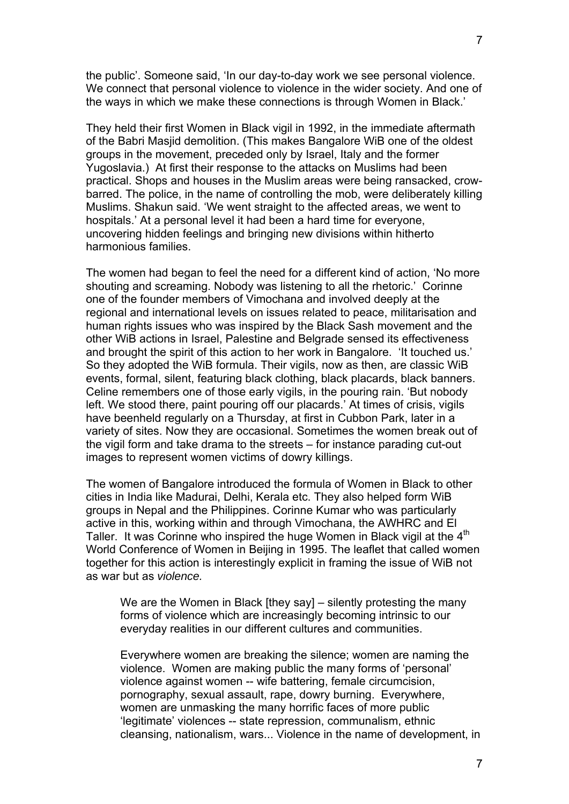the public'. Someone said, 'In our day-to-day work we see personal violence. We connect that personal violence to violence in the wider society. And one of the ways in which we make these connections is through Women in Black.'

They held their first Women in Black vigil in 1992, in the immediate aftermath of the Babri Masjid demolition. (This makes Bangalore WiB one of the oldest groups in the movement, preceded only by Israel, Italy and the former Yugoslavia.) At first their response to the attacks on Muslims had been practical. Shops and houses in the Muslim areas were being ransacked, crowbarred. The police, in the name of controlling the mob, were deliberately killing Muslims. Shakun said. 'We went straight to the affected areas, we went to hospitals.' At a personal level it had been a hard time for everyone, uncovering hidden feelings and bringing new divisions within hitherto harmonious families.

The women had began to feel the need for a different kind of action, 'No more shouting and screaming. Nobody was listening to all the rhetoric.' Corinne one of the founder members of Vimochana and involved deeply at the regional and international levels on issues related to peace, militarisation and human rights issues who was inspired by the Black Sash movement and the other WiB actions in Israel, Palestine and Belgrade sensed its effectiveness and brought the spirit of this action to her work in Bangalore. 'It touched us.' So they adopted the WiB formula. Their vigils, now as then, are classic WiB events, formal, silent, featuring black clothing, black placards, black banners. Celine remembers one of those early vigils, in the pouring rain. 'But nobody left. We stood there, paint pouring off our placards.' At times of crisis, vigils have beenheld regularly on a Thursday, at first in Cubbon Park, later in a variety of sites. Now they are occasional. Sometimes the women break out of the vigil form and take drama to the streets – for instance parading cut-out images to represent women victims of dowry killings.

The women of Bangalore introduced the formula of Women in Black to other cities in India like Madurai, Delhi, Kerala etc. They also helped form WiB groups in Nepal and the Philippines. Corinne Kumar who was particularly active in this, working within and through Vimochana, the AWHRC and El Taller. It was Corinne who inspired the huge Women in Black vigil at the  $4<sup>th</sup>$ World Conference of Women in Beijing in 1995. The leaflet that called women together for this action is interestingly explicit in framing the issue of WiB not as war but as *violence.* 

We are the Women in Black [they say] – silently protesting the many forms of violence which are increasingly becoming intrinsic to our everyday realities in our different cultures and communities.

Everywhere women are breaking the silence; women are naming the violence. Women are making public the many forms of 'personal' violence against women -- wife battering, female circumcision, pornography, sexual assault, rape, dowry burning. Everywhere, women are unmasking the many horrific faces of more public 'legitimate' violences -- state repression, communalism, ethnic cleansing, nationalism, wars... Violence in the name of development, in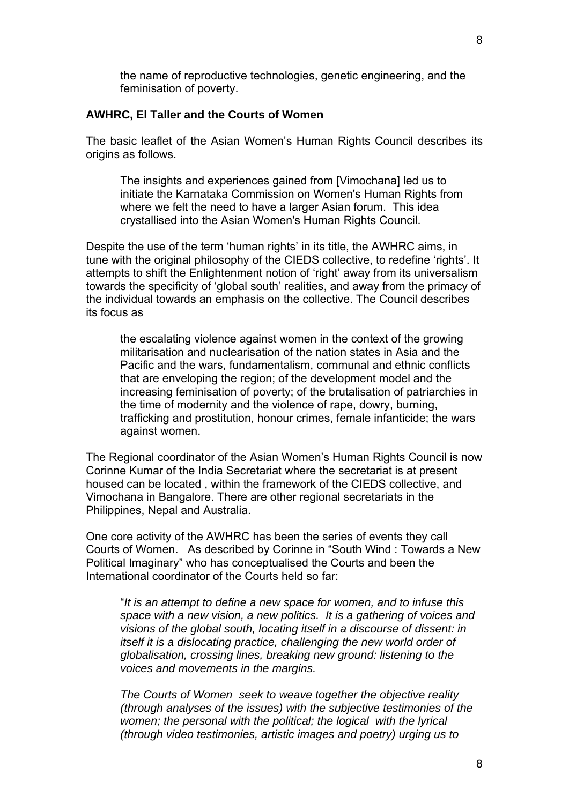the name of reproductive technologies, genetic engineering, and the feminisation of poverty.

## **AWHRC, El Taller and the Courts of Women**

The basic leaflet of the Asian Women's Human Rights Council describes its origins as follows.

The insights and experiences gained from [Vimochana] led us to initiate the Karnataka Commission on Women's Human Rights from where we felt the need to have a larger Asian forum. This idea crystallised into the Asian Women's Human Rights Council.

Despite the use of the term 'human rights' in its title, the AWHRC aims, in tune with the original philosophy of the CIEDS collective, to redefine 'rights'. It attempts to shift the Enlightenment notion of 'right' away from its universalism towards the specificity of 'global south' realities, and away from the primacy of the individual towards an emphasis on the collective. The Council describes its focus as

the escalating violence against women in the context of the growing militarisation and nuclearisation of the nation states in Asia and the Pacific and the wars, fundamentalism, communal and ethnic conflicts that are enveloping the region; of the development model and the increasing feminisation of poverty; of the brutalisation of patriarchies in the time of modernity and the violence of rape, dowry, burning, trafficking and prostitution, honour crimes, female infanticide; the wars against women.

The Regional coordinator of the Asian Women's Human Rights Council is now Corinne Kumar of the India Secretariat where the secretariat is at present housed can be located , within the framework of the CIEDS collective, and Vimochana in Bangalore. There are other regional secretariats in the Philippines, Nepal and Australia.

One core activity of the AWHRC has been the series of events they call Courts of Women. As described by Corinne in "South Wind : Towards a New Political Imaginary" who has conceptualised the Courts and been the International coordinator of the Courts held so far:

"*It is an attempt to define a new space for women, and to infuse this space with a new vision, a new politics. It is a gathering of voices and visions of the global south, locating itself in a discourse of dissent: in itself it is a dislocating practice, challenging the new world order of globalisation, crossing lines, breaking new ground: listening to the voices and movements in the margins.* 

*The Courts of Women seek to weave together the objective reality (through analyses of the issues) with the subjective testimonies of the women; the personal with the political; the logical with the lyrical (through video testimonies, artistic images and poetry) urging us to*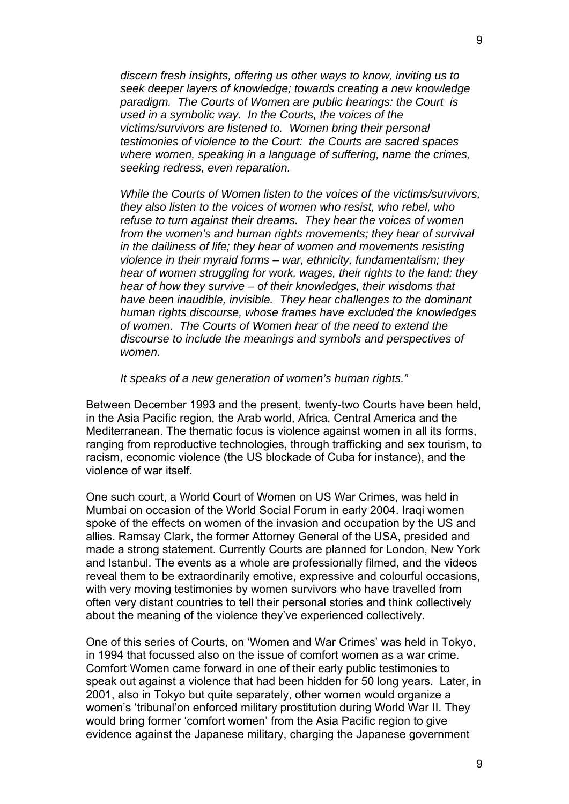*discern fresh insights, offering us other ways to know, inviting us to seek deeper layers of knowledge; towards creating a new knowledge paradigm. The Courts of Women are public hearings: the Court is used in a symbolic way. In the Courts, the voices of the victims/survivors are listened to. Women bring their personal testimonies of violence to the Court: the Courts are sacred spaces where women, speaking in a language of suffering, name the crimes, seeking redress, even reparation.* 

*While the Courts of Women listen to the voices of the victims/survivors, they also listen to the voices of women who resist, who rebel, who refuse to turn against their dreams. They hear the voices of women from the women's and human rights movements; they hear of survival in the dailiness of life; they hear of women and movements resisting violence in their myraid forms – war, ethnicity, fundamentalism; they hear of women struggling for work, wages, their rights to the land; they hear of how they survive – of their knowledges, their wisdoms that have been inaudible, invisible. They hear challenges to the dominant human rights discourse, whose frames have excluded the knowledges of women. The Courts of Women hear of the need to extend the discourse to include the meanings and symbols and perspectives of women.* 

*It speaks of a new generation of women's human rights."* 

Between December 1993 and the present, twenty-two Courts have been held, in the Asia Pacific region, the Arab world, Africa, Central America and the Mediterranean. The thematic focus is violence against women in all its forms, ranging from reproductive technologies, through trafficking and sex tourism, to racism, economic violence (the US blockade of Cuba for instance), and the violence of war itself.

One such court, a World Court of Women on US War Crimes, was held in Mumbai on occasion of the World Social Forum in early 2004. Iraqi women spoke of the effects on women of the invasion and occupation by the US and allies. Ramsay Clark, the former Attorney General of the USA, presided and made a strong statement. Currently Courts are planned for London, New York and Istanbul. The events as a whole are professionally filmed, and the videos reveal them to be extraordinarily emotive, expressive and colourful occasions, with very moving testimonies by women survivors who have travelled from often very distant countries to tell their personal stories and think collectively about the meaning of the violence they've experienced collectively.

One of this series of Courts, on 'Women and War Crimes' was held in Tokyo, in 1994 that focussed also on the issue of comfort women as a war crime. Comfort Women came forward in one of their early public testimonies to speak out against a violence that had been hidden for 50 long years. Later, in 2001, also in Tokyo but quite separately, other women would organize a women's 'tribunal'on enforced military prostitution during World War II. They would bring former 'comfort women' from the Asia Pacific region to give evidence against the Japanese military, charging the Japanese government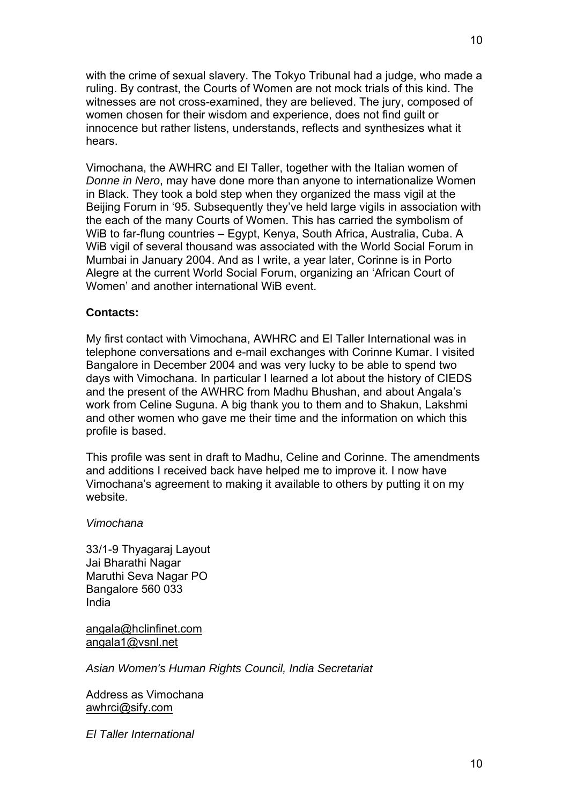with the crime of sexual slavery. The Tokyo Tribunal had a judge, who made a ruling. By contrast, the Courts of Women are not mock trials of this kind. The witnesses are not cross-examined, they are believed. The jury, composed of women chosen for their wisdom and experience, does not find guilt or innocence but rather listens, understands, reflects and synthesizes what it hears.

Vimochana, the AWHRC and El Taller, together with the Italian women of *Donne in Nero*, may have done more than anyone to internationalize Women in Black. They took a bold step when they organized the mass vigil at the Beijing Forum in '95. Subsequently they've held large vigils in association with the each of the many Courts of Women. This has carried the symbolism of WiB to far-flung countries – Egypt, Kenya, South Africa, Australia, Cuba. A WiB vigil of several thousand was associated with the World Social Forum in Mumbai in January 2004. And as I write, a year later, Corinne is in Porto Alegre at the current World Social Forum, organizing an 'African Court of Women' and another international WiB event.

## **Contacts:**

My first contact with Vimochana, AWHRC and El Taller International was in telephone conversations and e-mail exchanges with Corinne Kumar. I visited Bangalore in December 2004 and was very lucky to be able to spend two days with Vimochana. In particular I learned a lot about the history of CIEDS and the present of the AWHRC from Madhu Bhushan, and about Angala's work from Celine Suguna. A big thank you to them and to Shakun, Lakshmi and other women who gave me their time and the information on which this profile is based.

This profile was sent in draft to Madhu, Celine and Corinne. The amendments and additions I received back have helped me to improve it. I now have Vimochana's agreement to making it available to others by putting it on my website.

#### *Vimochana*

33/1-9 Thyagaraj Layout Jai Bharathi Nagar Maruthi Seva Nagar PO Bangalore 560 033 India

[angala@hclinfinet.com](mailto:angala@hclinfinet.com) [angala1@vsnl.net](mailto:angala1@vsnl.net)

*Asian Women's Human Rights Council, India Secretariat* 

Address as Vimochana [awhrci@sify.com](mailto:awhrci@sify.com)

*El Taller International*